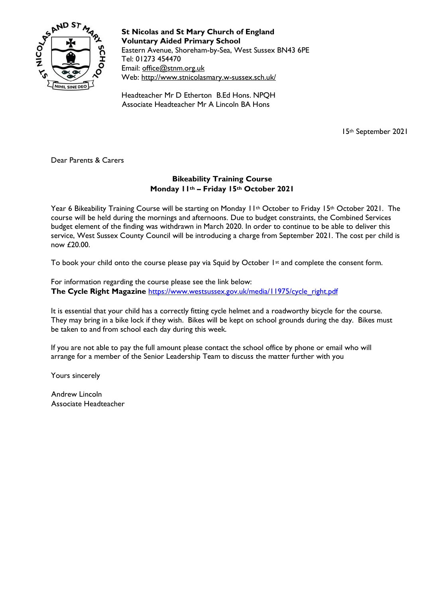

**St Nicolas and St Mary Church of England Voluntary Aided Primary School** Eastern Avenue, Shoreham-by-Sea, West Sussex BN43 6PE Tel: 01273 454470 Email: [office@stnm.org.uk](mailto:office@stnm.org.uk) Web:<http://www.stnicolasmary.w-sussex.sch.uk/>

Headteacher Mr D Etherton B.Ed Hons. NPQH Associate Headteacher Mr A Lincoln BA Hons

15th September 2021

Dear Parents & Carers

## **Bikeability Training Course Monday 11th – Friday 15th October 2021**

Year 6 Bikeability Training Course will be starting on Monday 11<sup>th</sup> October to Friday 15<sup>th</sup> October 2021. The course will be held during the mornings and afternoons. Due to budget constraints, the Combined Services budget element of the finding was withdrawn in March 2020. In order to continue to be able to deliver this service, West Sussex County Council will be introducing a charge from September 2021. The cost per child is now £20.00.

To book your child onto the course please pay via Squid by October 1st and complete the consent form.

For information regarding the course please see the link below: **The Cycle Right Magazine** [https://www.westsussex.gov.uk/media/11975/cycle\\_right.pdf](https://www.westsussex.gov.uk/media/11975/cycle_right.pdf)

It is essential that your child has a correctly fitting cycle helmet and a roadworthy bicycle for the course. They may bring in a bike lock if they wish. Bikes will be kept on school grounds during the day. Bikes must be taken to and from school each day during this week.

If you are not able to pay the full amount please contact the school office by phone or email who will arrange for a member of the Senior Leadership Team to discuss the matter further with you

Yours sincerely

Andrew Lincoln Associate Headteacher